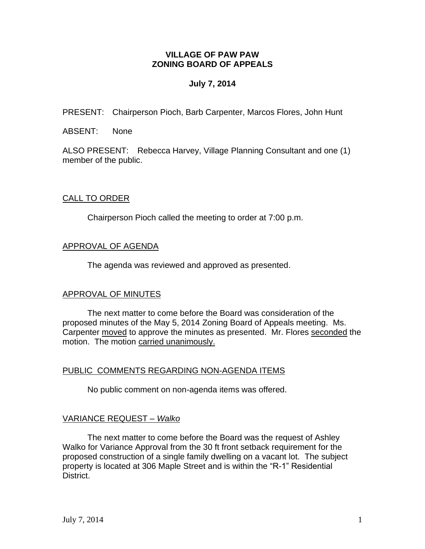## **VILLAGE OF PAW PAW ZONING BOARD OF APPEALS**

# **July 7, 2014**

PRESENT: Chairperson Pioch, Barb Carpenter, Marcos Flores, John Hunt

ABSENT: None

ALSO PRESENT: Rebecca Harvey, Village Planning Consultant and one (1) member of the public.

## CALL TO ORDER

Chairperson Pioch called the meeting to order at 7:00 p.m.

# APPROVAL OF AGENDA

The agenda was reviewed and approved as presented.

## APPROVAL OF MINUTES

The next matter to come before the Board was consideration of the proposed minutes of the May 5, 2014 Zoning Board of Appeals meeting. Ms. Carpenter moved to approve the minutes as presented. Mr. Flores seconded the motion. The motion carried unanimously.

## PUBLIC COMMENTS REGARDING NON-AGENDA ITEMS

No public comment on non-agenda items was offered.

## VARIANCE REQUEST *– Walko*

The next matter to come before the Board was the request of Ashley Walko for Variance Approval from the 30 ft front setback requirement for the proposed construction of a single family dwelling on a vacant lot. The subject property is located at 306 Maple Street and is within the "R-1" Residential District.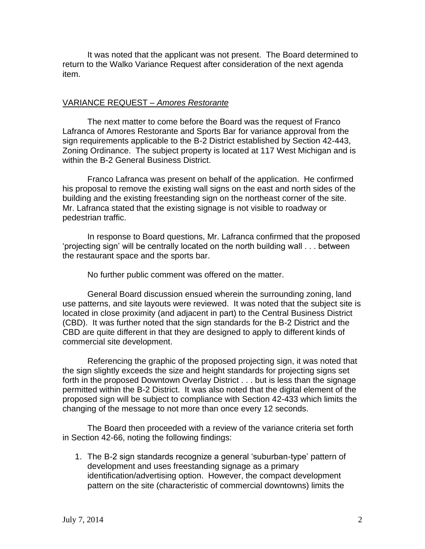It was noted that the applicant was not present. The Board determined to return to the Walko Variance Request after consideration of the next agenda item.

## VARIANCE REQUEST – *Amores Restorante*

The next matter to come before the Board was the request of Franco Lafranca of Amores Restorante and Sports Bar for variance approval from the sign requirements applicable to the B-2 District established by Section 42-443, Zoning Ordinance. The subject property is located at 117 West Michigan and is within the B-2 General Business District.

Franco Lafranca was present on behalf of the application. He confirmed his proposal to remove the existing wall signs on the east and north sides of the building and the existing freestanding sign on the northeast corner of the site. Mr. Lafranca stated that the existing signage is not visible to roadway or pedestrian traffic.

In response to Board questions, Mr. Lafranca confirmed that the proposed 'projecting sign' will be centrally located on the north building wall . . . between the restaurant space and the sports bar.

No further public comment was offered on the matter.

General Board discussion ensued wherein the surrounding zoning, land use patterns, and site layouts were reviewed. It was noted that the subject site is located in close proximity (and adjacent in part) to the Central Business District (CBD). It was further noted that the sign standards for the B-2 District and the CBD are quite different in that they are designed to apply to different kinds of commercial site development.

Referencing the graphic of the proposed projecting sign, it was noted that the sign slightly exceeds the size and height standards for projecting signs set forth in the proposed Downtown Overlay District . . . but is less than the signage permitted within the B-2 District. It was also noted that the digital element of the proposed sign will be subject to compliance with Section 42-433 which limits the changing of the message to not more than once every 12 seconds.

The Board then proceeded with a review of the variance criteria set forth in Section 42-66, noting the following findings:

1. The B-2 sign standards recognize a general 'suburban-type' pattern of development and uses freestanding signage as a primary identification/advertising option. However, the compact development pattern on the site (characteristic of commercial downtowns) limits the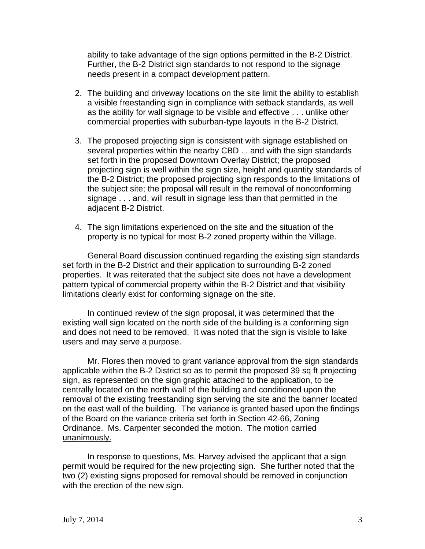ability to take advantage of the sign options permitted in the B-2 District. Further, the B-2 District sign standards to not respond to the signage needs present in a compact development pattern.

- 2. The building and driveway locations on the site limit the ability to establish a visible freestanding sign in compliance with setback standards, as well as the ability for wall signage to be visible and effective . . . unlike other commercial properties with suburban-type layouts in the B-2 District.
- 3. The proposed projecting sign is consistent with signage established on several properties within the nearby CBD . . and with the sign standards set forth in the proposed Downtown Overlay District; the proposed projecting sign is well within the sign size, height and quantity standards of the B-2 District; the proposed projecting sign responds to the limitations of the subject site; the proposal will result in the removal of nonconforming signage . . . and, will result in signage less than that permitted in the adjacent B-2 District.
- 4. The sign limitations experienced on the site and the situation of the property is no typical for most B-2 zoned property within the Village.

General Board discussion continued regarding the existing sign standards set forth in the B-2 District and their application to surrounding B-2 zoned properties. It was reiterated that the subject site does not have a development pattern typical of commercial property within the B-2 District and that visibility limitations clearly exist for conforming signage on the site.

In continued review of the sign proposal, it was determined that the existing wall sign located on the north side of the building is a conforming sign and does not need to be removed. It was noted that the sign is visible to lake users and may serve a purpose.

Mr. Flores then moved to grant variance approval from the sign standards applicable within the B-2 District so as to permit the proposed 39 sq ft projecting sign, as represented on the sign graphic attached to the application, to be centrally located on the north wall of the building and conditioned upon the removal of the existing freestanding sign serving the site and the banner located on the east wall of the building. The variance is granted based upon the findings of the Board on the variance criteria set forth in Section 42-66, Zoning Ordinance. Ms. Carpenter seconded the motion. The motion carried unanimously.

In response to questions, Ms. Harvey advised the applicant that a sign permit would be required for the new projecting sign. She further noted that the two (2) existing signs proposed for removal should be removed in conjunction with the erection of the new sign.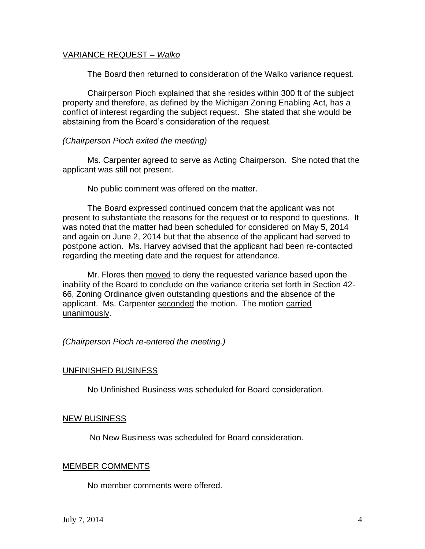## VARIANCE REQUEST *– Walko*

The Board then returned to consideration of the Walko variance request.

Chairperson Pioch explained that she resides within 300 ft of the subject property and therefore, as defined by the Michigan Zoning Enabling Act, has a conflict of interest regarding the subject request. She stated that she would be abstaining from the Board's consideration of the request.

#### *(Chairperson Pioch exited the meeting)*

Ms. Carpenter agreed to serve as Acting Chairperson. She noted that the applicant was still not present.

No public comment was offered on the matter.

The Board expressed continued concern that the applicant was not present to substantiate the reasons for the request or to respond to questions. It was noted that the matter had been scheduled for considered on May 5, 2014 and again on June 2, 2014 but that the absence of the applicant had served to postpone action. Ms. Harvey advised that the applicant had been re-contacted regarding the meeting date and the request for attendance.

Mr. Flores then moved to deny the requested variance based upon the inability of the Board to conclude on the variance criteria set forth in Section 42- 66, Zoning Ordinance given outstanding questions and the absence of the applicant. Ms. Carpenter seconded the motion. The motion carried unanimously.

## *(Chairperson Pioch re-entered the meeting.)*

#### UNFINISHED BUSINESS

No Unfinished Business was scheduled for Board consideration.

#### NEW BUSINESS

No New Business was scheduled for Board consideration.

#### MEMBER COMMENTS

No member comments were offered.